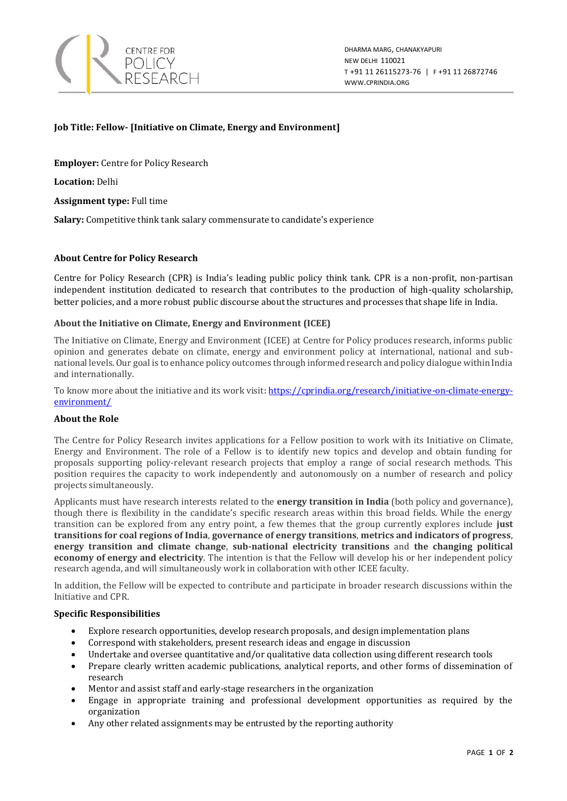

# **Job Title: Fellow- [Initiative on Climate, Energy and Environment]**

**Employer:** Centre for Policy Research

**Location:** Delhi

**Assignment type:** Full time

**Salary:** Competitive think tank salary commensurate to candidate's experience

## **About Centre for Policy Research**

Centre for Policy Research (CPR) is India's leading public policy think tank. CPR is a non-profit, non-partisan independent institution dedicated to research that contributes to the production of high-quality scholarship, better policies, and a more robust public discourse about the structures and processes that shape life in India.

## **About the Initiative on Climate, Energy and Environment (ICEE)**

The Initiative on Climate, Energy and Environment (ICEE) at Centre for Policy produces research, informs public opinion and generates debate on climate, energy and environment policy at international, national and subnational levels. Our goal is to enhance policy outcomes through informed research and policy dialogue within India and internationally.

To know more about the initiative and its work visit: [https://cprindia.org/research/initiative-on-climate-energy](https://cprindia.org/research/initiative-on-climate-energy-environment/)[environment/](https://cprindia.org/research/initiative-on-climate-energy-environment/)

### **About the Role**

The Centre for Policy Research invites applications for a Fellow position to work with its Initiative on Climate, Energy and Environment. The role of a Fellow is to identify new topics and develop and obtain funding for proposals supporting policy-relevant research projects that employ a range of social research methods. This position requires the capacity to work independently and autonomously on a number of research and policy projects simultaneously.

Applicants must have research interests related to the **energy transition in India** (both policy and governance), though there is flexibility in the candidate's specific research areas within this broad fields. While the energy transition can be explored from any entry point, a few themes that the group currently explores include **just transitions for coal regions of India**, **governance of energy transitions**, **metrics and indicators of progress**, **energy transition and climate change**, **sub-national electricity transitions** and **the changing political economy of energy and electricity**. The intention is that the Fellow will develop his or her independent policy research agenda, and will simultaneously work in collaboration with other ICEE faculty.

In addition, the Fellow will be expected to contribute and participate in broader research discussions within the Initiative and CPR.

### **Specific Responsibilities**

- Explore research opportunities, develop research proposals, and design implementation plans
- Correspond with stakeholders, present research ideas and engage in discussion
- Undertake and oversee quantitative and/or qualitative data collection using different research tools
- Prepare clearly written academic publications, analytical reports, and other forms of dissemination of research
- Mentor and assist staff and early-stage researchers in the organization
- Engage in appropriate training and professional development opportunities as required by the organization
- Any other related assignments may be entrusted by the reporting authority